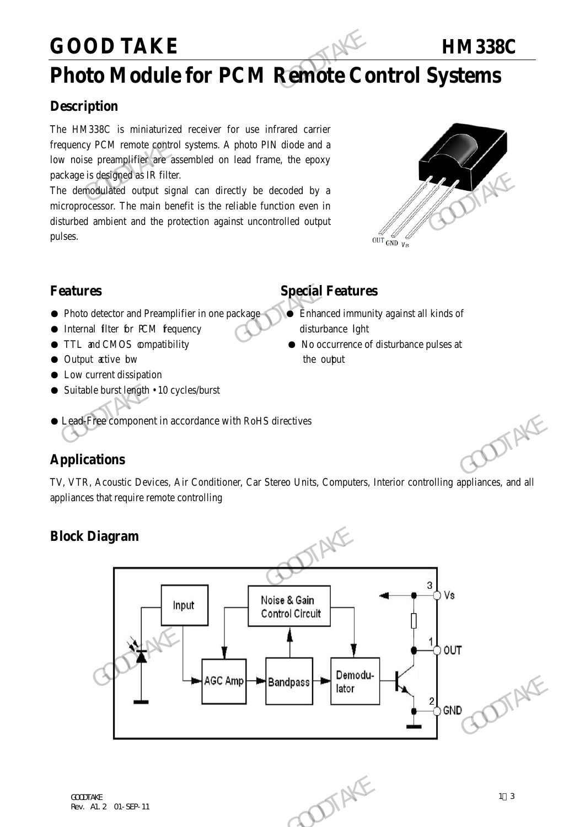## **GOOD TAKE HM338C**

## **Photo Module for PCM Remote Control Systems**

## **Description**

The HM338C is miniaturized receiver for use infrared carrier frequency PCM remote control systems. A photo PIN diode and a low noise preamplifier are assembled on lead frame, the epoxy package is designed as IR filter. GOOD TAKE<br>
Photo Module for PCM Remote Co.<br>
Description<br>
The HM338C is miniaturized receiver for use infrared carrier<br>
frequency PCM remote control systems. A photo PIN diode and a<br>
low noise preamplifier are assembled on

The demodulated output signal can directly be decoded by a microprocessor. The main benefit is the reliable function even in disturbed ambient and the protection against uncontrolled output pulses. package is designed as IR filter.<br>
The derivalized output signal can directly be decoded by a<br>
microprocessor. The main benefit is the reliable function even in<br>
disturbed ambient and the protection against uncontrolled o



- Photo detector and Preamplifier in one package Enhanced immunity against all kinds of
- Internal filter for PCM fequency disturbance light
- 
- Output active bw the output
- Low current dissipation
- Suitable burst length 10 cycles/burst

## **Features Special Features**

- 
- TTL and CMOS compatibility No occurrence of disturbance pulses at
- Lead-Free component in accordance with RoHS directives

## **Applications**

TV, VTR, Acoustic Devices, Air Conditioner, Car Stereo Units, Computers, Interior controlling appliances, and all appliances that require remote controlling

## **Block Diagram**

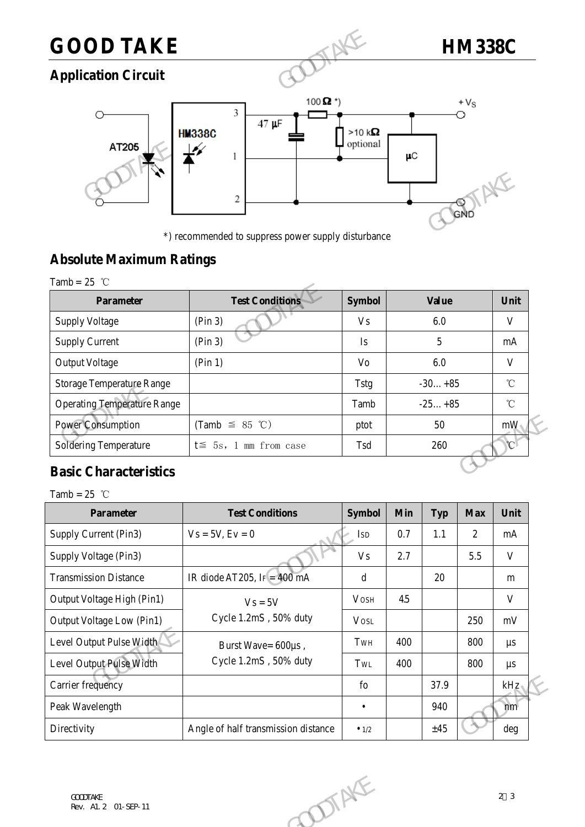## **GOOD TAKE HM338C**

## **Application Circuit**



\*) recommended to suppress power supply disturbance

## **Absolute Maximum Ratings**

| Tamb = |  |  |
|--------|--|--|
|        |  |  |

|                                    | *) recommended to suppress power supply disturbance |                | GND          |                 |
|------------------------------------|-----------------------------------------------------|----------------|--------------|-----------------|
| <b>Absolute Maximum Ratings</b>    |                                                     |                |              |                 |
| Tamb = $25$ °C                     |                                                     |                |              |                 |
| <b>Parameter</b>                   | <b>Test Conditions</b>                              | <b>Symbol</b>  | <b>Value</b> | Unit            |
| <b>Supply Voltage</b>              | (Pin 3)                                             | <b>Vs</b>      | 6.0          | V               |
| <b>Supply Current</b>              | (Pin 3)                                             | Is             | 5            | mA              |
| <b>Output Voltage</b>              | (Pin 1)                                             | V <sub>O</sub> | 6.0          | V               |
| <b>Storage Temperature Range</b>   |                                                     | <b>Tstg</b>    | $-30+85$     | $\rm ^{\circ}C$ |
| <b>Operating Temperature Range</b> |                                                     | Tamb           | $-25+85$     | $^{\circ}$ C    |
| <b>Power Consumption</b>           | (Tamb $\leq$ 85 °C)                                 | ptot           | 50           | mW              |
| <b>Soldering Temperature</b>       | $t \leq 5s$ , 1 mm from case                        | Tsd            | 260          | $\mathcal{C}$   |

## **Basic Characteristics**

| $\mathcal{C}$<br>Soldering Temperature<br>260<br>$t \leq 5s$ , 1 mm from case<br>Tsd<br><b>Basic Characteristics</b><br>Tamb = $25$ °C<br><b>Test Conditions</b><br><b>Symbol</b><br>Parameter<br>Min<br><b>Max</b><br>Unit<br><b>Typ</b><br>Supply Current (Pin3)<br>0.7<br>$1.1\,$<br>$\overline{2}$<br>$Vs = 5V, Ev = 0$<br><b>ISD</b><br>mA<br>2.7<br>5.5<br>$\mathbf V$<br>Supply Voltage (Pin3)<br><b>Vs</b><br>IR diode AT205, IF = $400$ mA<br>20<br><b>Transmission Distance</b><br>$\mathbf d$<br>m<br>Output Voltage High (Pin1)<br>4.5<br>V<br><b>VOSH</b><br>$Vs = 5V$<br>Cycle 1.2mS, 50% duty<br>Output Voltage Low (Pin1)<br>250<br><b>VOSL</b><br>mV<br>400<br>Level Output Pulse Width<br>800<br>TwH<br>$\mu s$<br>Burst Wave= 600µs, | Power Consumption                       | (Tamb $\leq$ 85 °C)   | ptot | 50 | mW             |
|---------------------------------------------------------------------------------------------------------------------------------------------------------------------------------------------------------------------------------------------------------------------------------------------------------------------------------------------------------------------------------------------------------------------------------------------------------------------------------------------------------------------------------------------------------------------------------------------------------------------------------------------------------------------------------------------------------------------------------------------------------|-----------------------------------------|-----------------------|------|----|----------------|
|                                                                                                                                                                                                                                                                                                                                                                                                                                                                                                                                                                                                                                                                                                                                                         |                                         |                       |      |    |                |
|                                                                                                                                                                                                                                                                                                                                                                                                                                                                                                                                                                                                                                                                                                                                                         |                                         |                       |      |    |                |
|                                                                                                                                                                                                                                                                                                                                                                                                                                                                                                                                                                                                                                                                                                                                                         |                                         |                       |      |    |                |
|                                                                                                                                                                                                                                                                                                                                                                                                                                                                                                                                                                                                                                                                                                                                                         |                                         |                       |      |    |                |
|                                                                                                                                                                                                                                                                                                                                                                                                                                                                                                                                                                                                                                                                                                                                                         |                                         |                       |      |    |                |
|                                                                                                                                                                                                                                                                                                                                                                                                                                                                                                                                                                                                                                                                                                                                                         |                                         |                       |      |    |                |
|                                                                                                                                                                                                                                                                                                                                                                                                                                                                                                                                                                                                                                                                                                                                                         |                                         |                       |      |    |                |
|                                                                                                                                                                                                                                                                                                                                                                                                                                                                                                                                                                                                                                                                                                                                                         |                                         |                       |      |    |                |
|                                                                                                                                                                                                                                                                                                                                                                                                                                                                                                                                                                                                                                                                                                                                                         |                                         |                       |      |    |                |
|                                                                                                                                                                                                                                                                                                                                                                                                                                                                                                                                                                                                                                                                                                                                                         |                                         |                       |      |    |                |
| Level Output Pulse Width<br>400<br>800<br>TwL<br>$\mu s$                                                                                                                                                                                                                                                                                                                                                                                                                                                                                                                                                                                                                                                                                                |                                         | Cycle 1.2mS, 50% duty |      |    |                |
| Carrier frequency<br>37.9<br>kHz<br>$f_{0}$                                                                                                                                                                                                                                                                                                                                                                                                                                                                                                                                                                                                                                                                                                             |                                         |                       |      |    |                |
| 940<br>Peak Wavelength<br>$\bullet$<br>nm                                                                                                                                                                                                                                                                                                                                                                                                                                                                                                                                                                                                                                                                                                               |                                         |                       |      |    |                |
| Directivity<br>Angle of half transmission distance<br>±45<br>deg<br>$\bullet$ 1/2                                                                                                                                                                                                                                                                                                                                                                                                                                                                                                                                                                                                                                                                       |                                         |                       |      |    |                |
|                                                                                                                                                                                                                                                                                                                                                                                                                                                                                                                                                                                                                                                                                                                                                         | <b>COODTAKE</b><br>Rev. A1. 2 01-SEP-11 | <b>DOTAKE</b>         |      |    | 2 <sup>3</sup> |